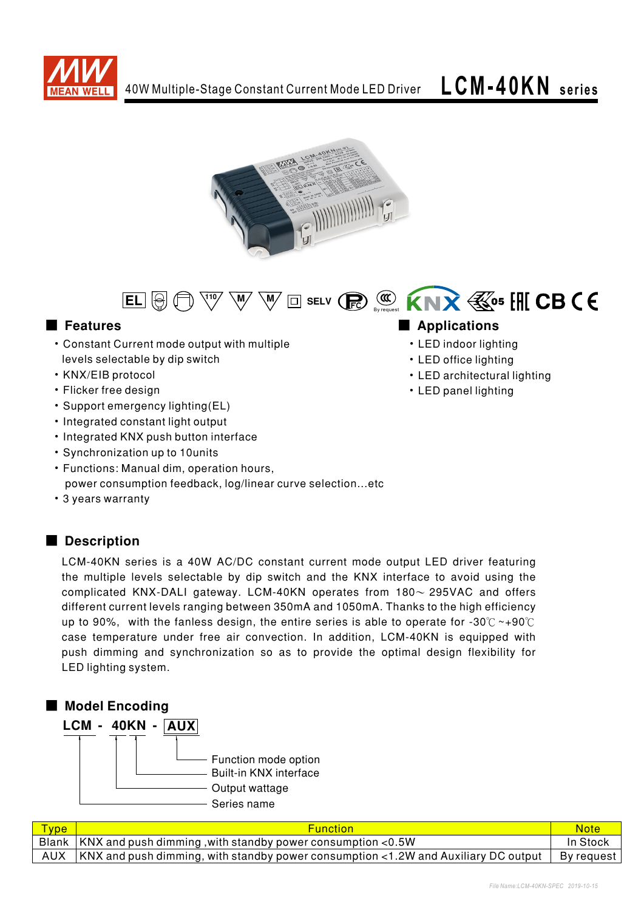





- Constant Current mode output with multiple levels selectable by dip switch
- KNX/EIB protocol
- Flicker free design
- Support emergency lighting(EL)
- Integrated constant light output
- Integrated KNX push button interface
- Synchronization up to 10units
- Functions: Manual dim. operation hours. power consumption feedback, log/linear curve selection...etc
- 3 years warranty

## Description

LCM-40KN series is a 40W AC/DC constant current mode output LED driver featuring the multiple levels selectable by dip switch and the KNX interface to avoid using the complicated KNX-DALI gateway. LCM-40KN operates from 180~ 295VAC and offers different current levels ranging between 350mA and 1050mA. Thanks to the high efficiency up to 90%, with the fanless design, the entire series is able to operate for -30 $\degree$ C ~+90 $\degree$ C case temperature under free air convection. In addition, LCM-40KN is equipped with push dimming and synchronization so as to provide the optimal design flexibility for LED lighting system.



| <b>Type</b> | <b>Function</b>                                                                          | <b>Note</b> |
|-------------|------------------------------------------------------------------------------------------|-------------|
|             | $\mid$ Blank $\mid$ KNX and push dimming ,with standby power consumption <0.5W           | In Stock    |
|             | AUX   KNX and push dimming, with standby power consumption <1.2W and Auxiliary DC output | By request  |

## ■ Features ■ National Manufactures ■ National Manufactures ■ National Manufactures ■ National Manufactures ■ National Manufactures ■ National Manufactures ■ National Manufactures ■ National Manufactures ■ National Manufac

- LED indoor lighting
- LED office lighting
- LED architectural lighting
- LED panel lighting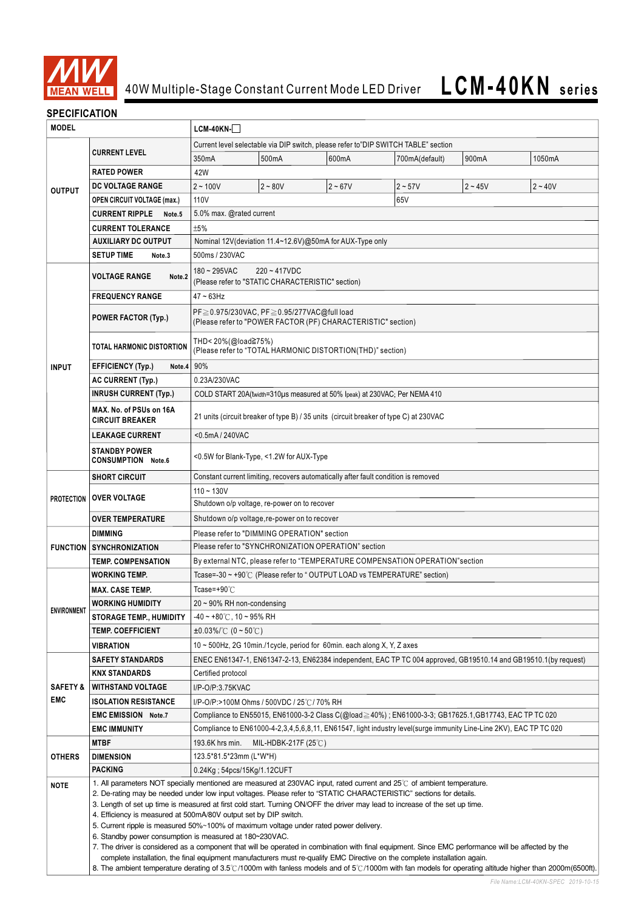

## **SPECIFICATION**

| <b>MODEL</b>        |                                                                                                                                                                                                                                                                                                                                                                                                                                                                                                                                                                                                      | $LCM-40KN-$                                                                                                        |                                                                                                           |           |                                                                            |           |           |  |  |  |  |  |
|---------------------|------------------------------------------------------------------------------------------------------------------------------------------------------------------------------------------------------------------------------------------------------------------------------------------------------------------------------------------------------------------------------------------------------------------------------------------------------------------------------------------------------------------------------------------------------------------------------------------------------|--------------------------------------------------------------------------------------------------------------------|-----------------------------------------------------------------------------------------------------------|-----------|----------------------------------------------------------------------------|-----------|-----------|--|--|--|--|--|
|                     |                                                                                                                                                                                                                                                                                                                                                                                                                                                                                                                                                                                                      | Current level selectable via DIP switch, please refer to"DIP SWITCH TABLE" section                                 |                                                                                                           |           |                                                                            |           |           |  |  |  |  |  |
|                     | <b>CURRENT LEVEL</b>                                                                                                                                                                                                                                                                                                                                                                                                                                                                                                                                                                                 | 350mA                                                                                                              | 500mA                                                                                                     | 600mA     | 700mA(default)                                                             | 900mA     | 1050mA    |  |  |  |  |  |
| <b>OUTPUT</b>       | <b>RATED POWER</b>                                                                                                                                                                                                                                                                                                                                                                                                                                                                                                                                                                                   | 42W                                                                                                                |                                                                                                           |           |                                                                            |           |           |  |  |  |  |  |
|                     | DC VOLTAGE RANGE                                                                                                                                                                                                                                                                                                                                                                                                                                                                                                                                                                                     | $2 - 100V$                                                                                                         | $2 - 80V$                                                                                                 | $2 - 67V$ | $2 - 57V$                                                                  | $2 - 45V$ | $2 - 40V$ |  |  |  |  |  |
|                     | <b>OPEN CIRCUIT VOLTAGE (max.)</b>                                                                                                                                                                                                                                                                                                                                                                                                                                                                                                                                                                   | 110V                                                                                                               |                                                                                                           |           | 65V                                                                        |           |           |  |  |  |  |  |
|                     | <b>CURRENT RIPPLE</b><br>Note.5                                                                                                                                                                                                                                                                                                                                                                                                                                                                                                                                                                      |                                                                                                                    | 5.0% max. @rated current                                                                                  |           |                                                                            |           |           |  |  |  |  |  |
|                     | <b>CURRENT TOLERANCE</b>                                                                                                                                                                                                                                                                                                                                                                                                                                                                                                                                                                             | ±5%                                                                                                                |                                                                                                           |           |                                                                            |           |           |  |  |  |  |  |
|                     | <b>AUXILIARY DC OUTPUT</b>                                                                                                                                                                                                                                                                                                                                                                                                                                                                                                                                                                           | Nominal 12V(deviation 11.4~12.6V)@50mA for AUX-Type only                                                           |                                                                                                           |           |                                                                            |           |           |  |  |  |  |  |
|                     | <b>SETUP TIME</b><br>Note.3                                                                                                                                                                                                                                                                                                                                                                                                                                                                                                                                                                          | 500ms / 230VAC                                                                                                     |                                                                                                           |           |                                                                            |           |           |  |  |  |  |  |
|                     | <b>VOLTAGE RANGE</b><br>Note.2                                                                                                                                                                                                                                                                                                                                                                                                                                                                                                                                                                       | $180 - 295$ VAC                                                                                                    | $220 - 417$ VDC<br>(Please refer to "STATIC CHARACTERISTIC" section)                                      |           |                                                                            |           |           |  |  |  |  |  |
|                     | <b>FREQUENCY RANGE</b>                                                                                                                                                                                                                                                                                                                                                                                                                                                                                                                                                                               | $47 - 63$ Hz                                                                                                       |                                                                                                           |           |                                                                            |           |           |  |  |  |  |  |
|                     |                                                                                                                                                                                                                                                                                                                                                                                                                                                                                                                                                                                                      |                                                                                                                    |                                                                                                           |           |                                                                            |           |           |  |  |  |  |  |
|                     | <b>POWER FACTOR (Typ.)</b>                                                                                                                                                                                                                                                                                                                                                                                                                                                                                                                                                                           |                                                                                                                    | PF≥0.975/230VAC, PF≥0.95/277VAC@full load<br>(Please refer to "POWER FACTOR (PF) CHARACTERISTIC" section) |           |                                                                            |           |           |  |  |  |  |  |
|                     | TOTAL HARMONIC DISTORTION                                                                                                                                                                                                                                                                                                                                                                                                                                                                                                                                                                            |                                                                                                                    | THD< 20%(@load≧75%)<br>(Please refer to "TOTAL HARMONIC DISTORTION(THD)" section)                         |           |                                                                            |           |           |  |  |  |  |  |
| <b>INPUT</b>        | <b>EFFICIENCY (Typ.)</b><br>Note.4                                                                                                                                                                                                                                                                                                                                                                                                                                                                                                                                                                   | 90%                                                                                                                |                                                                                                           |           |                                                                            |           |           |  |  |  |  |  |
|                     | <b>AC CURRENT (Typ.)</b>                                                                                                                                                                                                                                                                                                                                                                                                                                                                                                                                                                             | 0.23A/230VAC                                                                                                       |                                                                                                           |           |                                                                            |           |           |  |  |  |  |  |
|                     | <b>INRUSH CURRENT (Typ.)</b>                                                                                                                                                                                                                                                                                                                                                                                                                                                                                                                                                                         |                                                                                                                    |                                                                                                           |           | COLD START 20A(twidth=310µs measured at 50% Ipeak) at 230VAC; Per NEMA 410 |           |           |  |  |  |  |  |
|                     | MAX. No. of PSUs on 16A<br><b>CIRCUIT BREAKER</b>                                                                                                                                                                                                                                                                                                                                                                                                                                                                                                                                                    |                                                                                                                    | 21 units (circuit breaker of type B) / 35 units (circuit breaker of type C) at 230VAC                     |           |                                                                            |           |           |  |  |  |  |  |
|                     | <b>LEAKAGE CURRENT</b>                                                                                                                                                                                                                                                                                                                                                                                                                                                                                                                                                                               | <0.5mA/240VAC                                                                                                      |                                                                                                           |           |                                                                            |           |           |  |  |  |  |  |
|                     | <b>STANDBY POWER</b><br><b>CONSUMPTION Note.6</b>                                                                                                                                                                                                                                                                                                                                                                                                                                                                                                                                                    |                                                                                                                    | <0.5W for Blank-Type, <1.2W for AUX-Type                                                                  |           |                                                                            |           |           |  |  |  |  |  |
|                     | <b>SHORT CIRCUIT</b>                                                                                                                                                                                                                                                                                                                                                                                                                                                                                                                                                                                 | Constant current limiting, recovers automatically after fault condition is removed                                 |                                                                                                           |           |                                                                            |           |           |  |  |  |  |  |
|                     | <b>OVER VOLTAGE</b>                                                                                                                                                                                                                                                                                                                                                                                                                                                                                                                                                                                  | $110 - 130V$                                                                                                       | Shutdown o/p voltage, re-power on to recover                                                              |           |                                                                            |           |           |  |  |  |  |  |
| <b>PROTECTION</b>   |                                                                                                                                                                                                                                                                                                                                                                                                                                                                                                                                                                                                      |                                                                                                                    |                                                                                                           |           |                                                                            |           |           |  |  |  |  |  |
|                     | <b>OVER TEMPERATURE</b>                                                                                                                                                                                                                                                                                                                                                                                                                                                                                                                                                                              |                                                                                                                    | Shutdown o/p voltage, re-power on to recover                                                              |           |                                                                            |           |           |  |  |  |  |  |
|                     | <b>DIMMING</b>                                                                                                                                                                                                                                                                                                                                                                                                                                                                                                                                                                                       | Please refer to "DIMMING OPERATION" section                                                                        |                                                                                                           |           |                                                                            |           |           |  |  |  |  |  |
| <b>FUNCTION</b>     | <b>SYNCHRONIZATION</b>                                                                                                                                                                                                                                                                                                                                                                                                                                                                                                                                                                               |                                                                                                                    | Please refer to "SYNCHRONIZATION OPERATION" section                                                       |           |                                                                            |           |           |  |  |  |  |  |
|                     | <b>TEMP. COMPENSATION</b>                                                                                                                                                                                                                                                                                                                                                                                                                                                                                                                                                                            |                                                                                                                    | By external NTC, please refer to "TEMPERATURE COMPENSATION OPERATION" section                             |           |                                                                            |           |           |  |  |  |  |  |
|                     | <b>WORKING TEMP.</b>                                                                                                                                                                                                                                                                                                                                                                                                                                                                                                                                                                                 |                                                                                                                    | Tcase=-30 ~ +90°C (Please refer to "OUTPUT LOAD vs TEMPERATURE" section)                                  |           |                                                                            |           |           |  |  |  |  |  |
|                     | <b>MAX. CASE TEMP.</b>                                                                                                                                                                                                                                                                                                                                                                                                                                                                                                                                                                               | Tcase=+90 $\degree$ C                                                                                              |                                                                                                           |           |                                                                            |           |           |  |  |  |  |  |
| <b>ENVIRONMENT</b>  | <b>WORKING HUMIDITY</b>                                                                                                                                                                                                                                                                                                                                                                                                                                                                                                                                                                              | 20 ~ 90% RH non-condensing                                                                                         |                                                                                                           |           |                                                                            |           |           |  |  |  |  |  |
|                     | <b>STORAGE TEMP., HUMIDITY</b>                                                                                                                                                                                                                                                                                                                                                                                                                                                                                                                                                                       | $-40 \sim +80^{\circ}$ C, 10 ~ 95% RH                                                                              |                                                                                                           |           |                                                                            |           |           |  |  |  |  |  |
|                     | <b>TEMP. COEFFICIENT</b>                                                                                                                                                                                                                                                                                                                                                                                                                                                                                                                                                                             | $\pm 0.03\%$ (°C (0 ~ 50°C)                                                                                        |                                                                                                           |           |                                                                            |           |           |  |  |  |  |  |
|                     | <b>VIBRATION</b>                                                                                                                                                                                                                                                                                                                                                                                                                                                                                                                                                                                     | 10 $\sim$ 500Hz, 2G 10min./1cycle, period for 60min. each along X, Y, Z axes                                       |                                                                                                           |           |                                                                            |           |           |  |  |  |  |  |
|                     | <b>SAFETY STANDARDS</b>                                                                                                                                                                                                                                                                                                                                                                                                                                                                                                                                                                              | ENEC EN61347-1, EN61347-2-13, EN62384 independent, EAC TP TC 004 approved, GB19510.14 and GB19510.1(by request)    |                                                                                                           |           |                                                                            |           |           |  |  |  |  |  |
|                     | <b>KNX STANDARDS</b>                                                                                                                                                                                                                                                                                                                                                                                                                                                                                                                                                                                 | Certified protocol                                                                                                 |                                                                                                           |           |                                                                            |           |           |  |  |  |  |  |
| <b>SAFETY &amp;</b> | <b>WITHSTAND VOLTAGE</b>                                                                                                                                                                                                                                                                                                                                                                                                                                                                                                                                                                             | I/P-O/P:3.75KVAC                                                                                                   |                                                                                                           |           |                                                                            |           |           |  |  |  |  |  |
| <b>EMC</b>          | <b>ISOLATION RESISTANCE</b>                                                                                                                                                                                                                                                                                                                                                                                                                                                                                                                                                                          | I/P-O/P:>100M Ohms / 500VDC / 25℃ / 70% RH                                                                         |                                                                                                           |           |                                                                            |           |           |  |  |  |  |  |
|                     | <b>EMC EMISSION Note.7</b>                                                                                                                                                                                                                                                                                                                                                                                                                                                                                                                                                                           | Compliance to EN55015, EN61000-3-2 Class C(@load ≥40%); EN61000-3-3; GB17625.1,GB17743, EAC TP TC 020              |                                                                                                           |           |                                                                            |           |           |  |  |  |  |  |
|                     | <b>EMC IMMUNITY</b>                                                                                                                                                                                                                                                                                                                                                                                                                                                                                                                                                                                  | Compliance to EN61000-4-2,3,4,5,6,8,11, EN61547, light industry level(surge immunity Line-Line 2KV), EAC TP TC 020 |                                                                                                           |           |                                                                            |           |           |  |  |  |  |  |
|                     | <b>MTBF</b>                                                                                                                                                                                                                                                                                                                                                                                                                                                                                                                                                                                          | 193.6K hrs min.                                                                                                    | MIL-HDBK-217F (25 $\degree$ C)                                                                            |           |                                                                            |           |           |  |  |  |  |  |
| <b>OTHERS</b>       | <b>DIMENSION</b>                                                                                                                                                                                                                                                                                                                                                                                                                                                                                                                                                                                     | 123.5*81.5*23mm (L*W*H)                                                                                            |                                                                                                           |           |                                                                            |           |           |  |  |  |  |  |
|                     | <b>PACKING</b>                                                                                                                                                                                                                                                                                                                                                                                                                                                                                                                                                                                       | 0.24Kg; 54pcs/15Kg/1.12CUFT                                                                                        |                                                                                                           |           |                                                                            |           |           |  |  |  |  |  |
| <b>NOTE</b>         | 1. All parameters NOT specially mentioned are measured at 230VAC input, rated current and 25°C of ambient temperature.<br>2. De-rating may be needed under low input voltages. Please refer to "STATIC CHARACTERISTIC" sections for details.<br>3. Length of set up time is measured at first cold start. Turning ON/OFF the driver may lead to increase of the set up time.<br>4. Efficiency is measured at 500mA/80V output set by DIP switch.<br>5. Current ripple is measured 50%~100% of maximum voltage under rated power delivery.<br>6. Standby power consumption is measured at 180~230VAC. |                                                                                                                    |                                                                                                           |           |                                                                            |           |           |  |  |  |  |  |
|                     | 7. The driver is considered as a component that will be operated in combination with final equipment. Since EMC performance will be affected by the<br>complete installation, the final equipment manufacturers must re-qualify EMC Directive on the complete installation again.                                                                                                                                                                                                                                                                                                                    |                                                                                                                    |                                                                                                           |           |                                                                            |           |           |  |  |  |  |  |
|                     | 8. The ambient temperature derating of 3.5°C/1000m with fanless models and of 5°C/1000m with fan models for operating altitude higher than 2000m(6500ft).                                                                                                                                                                                                                                                                                                                                                                                                                                            |                                                                                                                    |                                                                                                           |           |                                                                            |           |           |  |  |  |  |  |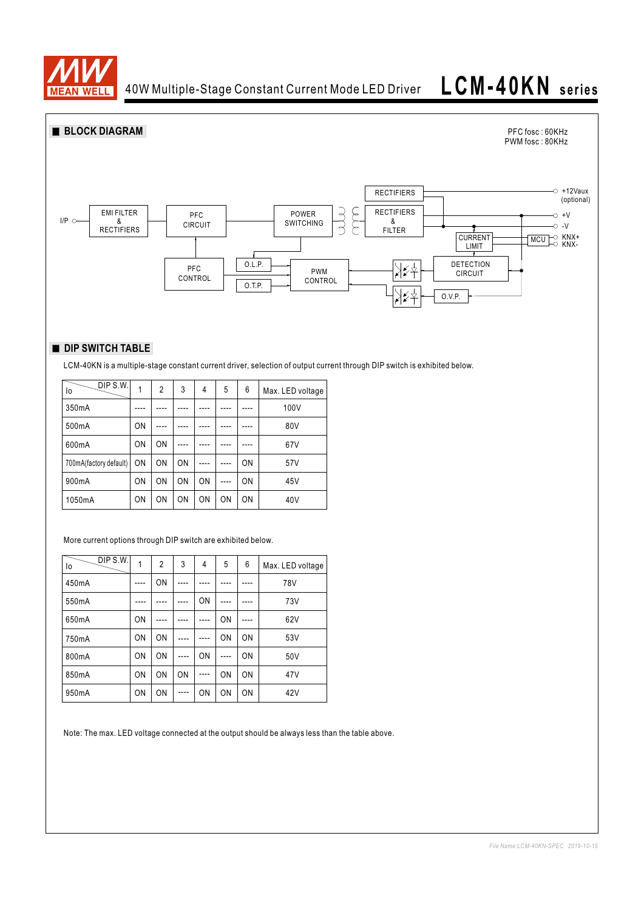

40W Multiple-Stage Constant Current Mode LED Driver

# **LCM-40KN se ries**

### **BLOCK DIAGRAM** PFC fosc : 60KHz PWM fosc : 80KHz  $\circ$  +12Vaux RECTIFIERS (optional) JJ RECTIFIERS EMI FILTER POWER CLC PFC  $\circ$  +V I/P & SWITCHING &<br>RECTIFIERS CIRCUIT  $\sim$  -V **FILTER** MCU<sub>C</sub> KNX+ CURRENT LIMIT O.L.P. DETECTION PFC PWM **CIRCUIT** CONTROL CONTROL O.T.P. O.V.P.

## **DIP SWITCH TABLE**

LCM-40KN is a multiple-stage constant current driver, selection of output current through DIP switch is exhibited below.

| DIP S.W.<br>lo         | 1  | 2  | 3         | 4         | 5         | 6         | Max. LED voltage |
|------------------------|----|----|-----------|-----------|-----------|-----------|------------------|
| 350mA                  |    |    |           |           |           |           | 100V             |
| 500mA                  | ON |    |           |           |           |           | 80V              |
| 600mA                  | ON | ON |           |           |           |           | 67V              |
| 700mA(factory default) | ON | ON | ON        |           |           | <b>ON</b> | 57V              |
| 900mA                  | ON | ON | ON        | ON        | ----      | ON        | 45V              |
| 1050mA                 | ON | ΟN | <b>ON</b> | <b>ON</b> | <b>ON</b> | ON        | 40V              |

More current options through DIP switch are exhibited below.

| DIP S.W.<br>lo     | 1    | $\overline{2}$ | 3    | 4  | 5              | 6         | Max. LED voltage |
|--------------------|------|----------------|------|----|----------------|-----------|------------------|
| 450mA              | ---- | ON             |      |    |                |           | <b>78V</b>       |
| 550 <sub>m</sub> A |      |                |      | ON |                |           | 73V              |
| 650mA              | ON   |                |      |    | ON             |           | 62V              |
| 750mA              | ON   | ON             |      |    | <b>ON</b>      | <b>ON</b> | 53V              |
| 800mA              | ON   | ON             |      | ON | ----           | ON        | 50V              |
| 850mA              | ON   | ON             | ON   |    | 0 <sub>N</sub> | ON        | 47 <sub>V</sub>  |
| 950mA              | ON   | ON             | ---- | ON | ON             | ON        | 42V              |

Note: The max. LED voltage connected at the output should be always less than the table above.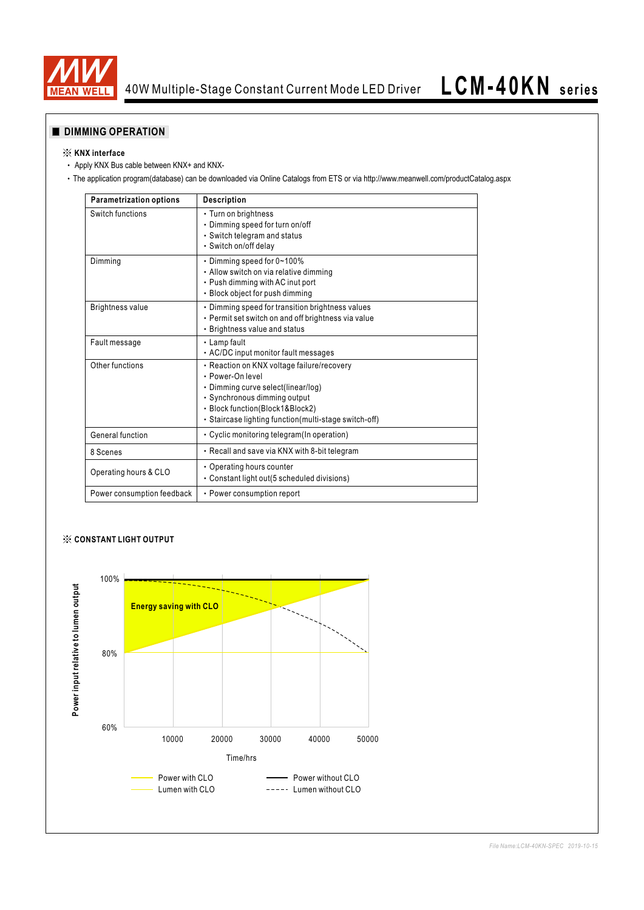

## **DIMMING OPERATION**

### ※ **KNX interface**

- ‧ Apply KNX Bus cable between KNX+ and KNX-
- ‧The application program(database) can be downloaded via Online Catalogs from ETS or via http://www.meanwell.com/productCatalog.aspx

| <b>Parametrization options</b> | <b>Description</b>                                                                                                                                                                                                               |
|--------------------------------|----------------------------------------------------------------------------------------------------------------------------------------------------------------------------------------------------------------------------------|
| Switch functions               | • Turn on brightness<br>• Dimming speed for turn on/off<br>• Switch telegram and status<br>· Switch on/off delay                                                                                                                 |
| Dimming                        | • Dimming speed for 0~100%<br>• Allow switch on via relative dimming<br>• Push dimming with AC inut port<br>• Block object for push dimming                                                                                      |
| <b>Brightness value</b>        | • Dimming speed for transition brightness values<br>• Permit set switch on and off brightness via value<br>• Brightness value and status                                                                                         |
| Fault message                  | • Lamp fault<br>• AC/DC input monitor fault messages                                                                                                                                                                             |
| Other functions                | • Reaction on KNX voltage failure/recovery<br>· Power-On level<br>• Dimming curve select(linear/log)<br>• Synchronous dimming output<br>· Block function(Block1&Block2)<br>· Staircase lighting function(multi-stage switch-off) |
| General function               | • Cyclic monitoring telegram (In operation)                                                                                                                                                                                      |
| 8 Scenes                       | • Recall and save via KNX with 8-bit telegram                                                                                                                                                                                    |
| Operating hours & CLO          | • Operating hours counter<br>• Constant light out(5 scheduled divisions)                                                                                                                                                         |
| Power consumption feedback     | • Power consumption report                                                                                                                                                                                                       |

## ※ **CONSTANT LIGHT OUTPUT**

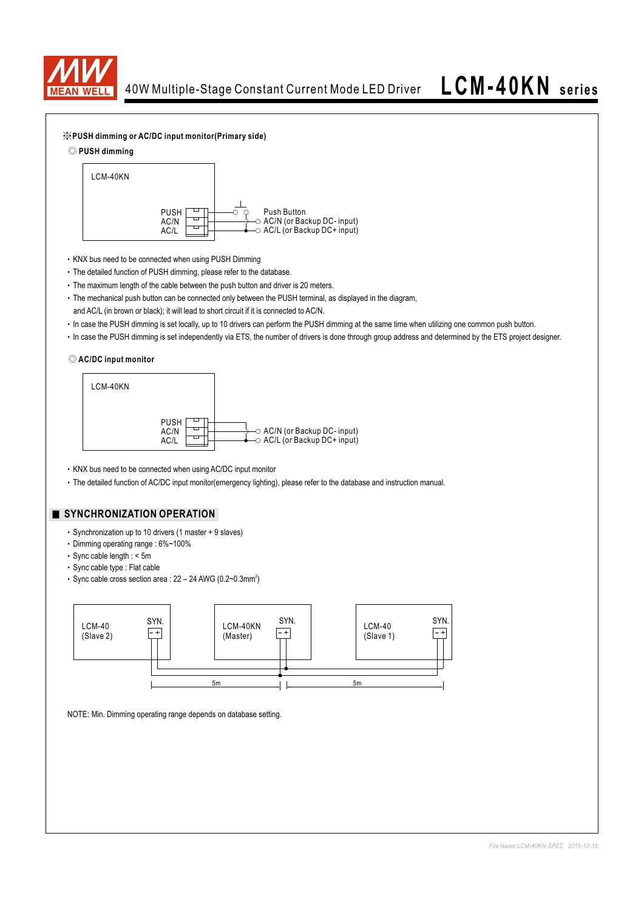



◎ **PUSH dimming**



- ‧KNX bus need to be connected when using PUSH Dimming
- ‧The detailed function of PUSH dimming, please refer to the database.
- ‧The maximum length of the cable between the push button and driver is 20 meters.
- ‧The mechanical push button can be connected only between the PUSH terminal, as displayed in the diagram, and AC/L (in brown or black); it will lead to short circuit if it is connected to AC/N.
- ‧In case the PUSH dimming is set locally, up to 10 drivers can perform the PUSH dimming at the same time when utilizing one common push button.
- ‧In case the PUSH dimming is set independently via ETS, the number of drivers is done through group address and determined by the ETS project designer.

### ◎ **AC/DC input monitor**



- ‧KNX bus need to be connected when using AC/DC input monitor
- ‧The detailed function of AC/DC input monitor(emergency lighting), please refer to the database and instruction manual.

## **SYNCHRONIZATION OPERATION**

- ‧Synchronization up to 10 drivers (1 master + 9 slaves)
- ‧Dimming operating range : 6%~100%
- ‧Sync cable length : < 5m
- ‧Sync cable type : Flat cable
- Sync cable cross section area :  $22 24$  AWG (0.2~0.3mm<sup>2</sup>)



NOTE: Min. Dimming operating range depends on database setting.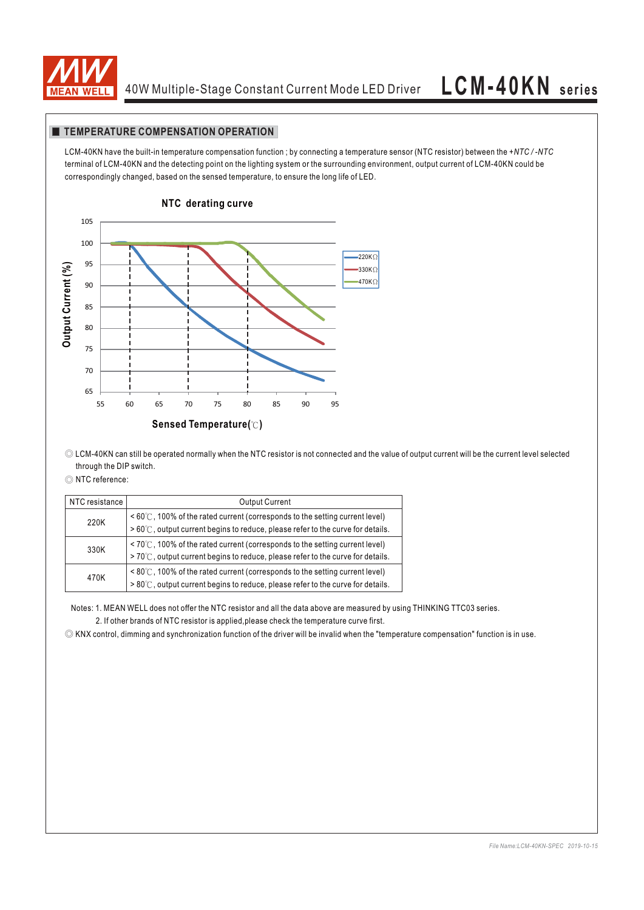

## **TEMPERATURE COMPENSATION OPERATION**

LCM-40KN have the built-in temperature compensation function ; by connecting a temperature sensor (NTC resistor) between the *+NTC / -NTC* terminal of LCM-40KN and the detecting point on the lighting system or the surrounding environment, output current of LCM-40KN could be correspondingly changed, based on the sensed temperature, to ensure the long life of LED.



◎ LCM-40KN can still be operated normally when the NTC resistor is not connected and the value of output current will be the current level selected through the DIP switch.

### ◎ NTC reference:

| NTC resistance I | <b>Output Current</b>                                                                                                                                                        |
|------------------|------------------------------------------------------------------------------------------------------------------------------------------------------------------------------|
| 220K             | $\leq 60^{\circ}$ (C, 100% of the rated current (corresponds to the setting current level)<br>> 60℃, output current begins to reduce, please refer to the curve for details. |
| 330K             | $\leq 70^{\circ}$ (100% of the rated current (corresponds to the setting current level)<br>>70℃, output current begins to reduce, please refer to the curve for details.     |
| 470K             | $\leq 80^{\circ}$ (c, 100% of the rated current (corresponds to the setting current level)<br>> 80℃, output current begins to reduce, please refer to the curve for details. |

Notes: 1. MEAN WELL does not offer the NTC resistor and all the data above are measured by using THINKING TTC03 series.

2. If other brands of NTC resistor is applied,please check the temperature curve first.

◎ KNX control, dimming and synchronization function of the driver will be invalid when the "temperature compensation" function is in use.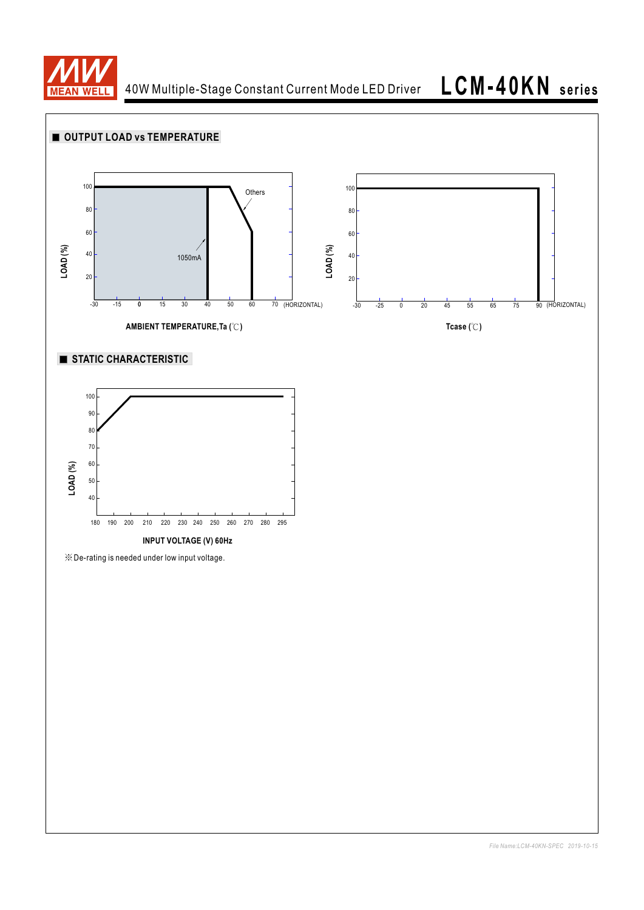

40W Multiple-Stage Constant Current Mode LED Driver

**LCM-40KN se ries**

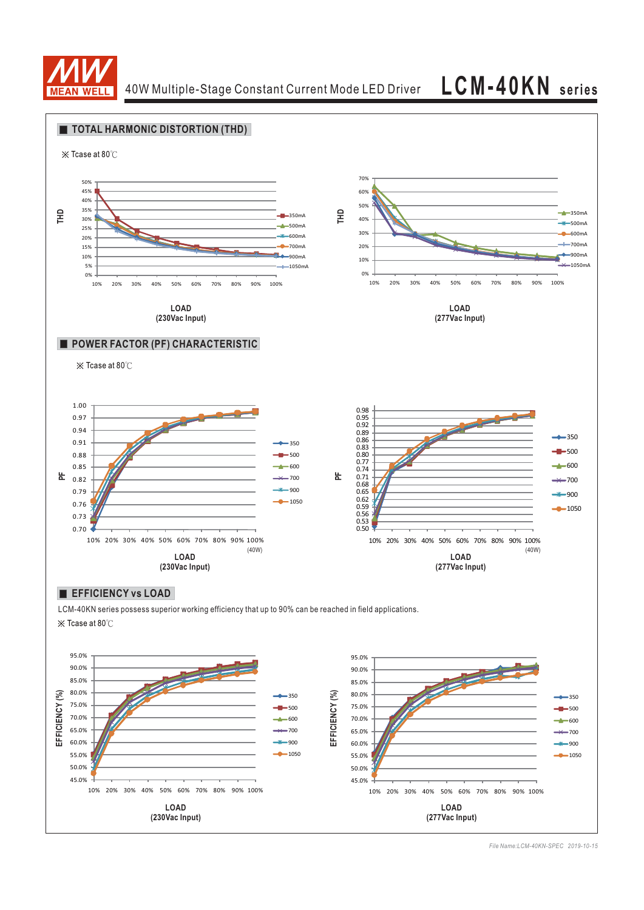

40W Multiple-Stage Constant Current Mode LED Driver **LCM-40KN series**



*File Name:LCM-40KN-SPEC 2019-10-15*